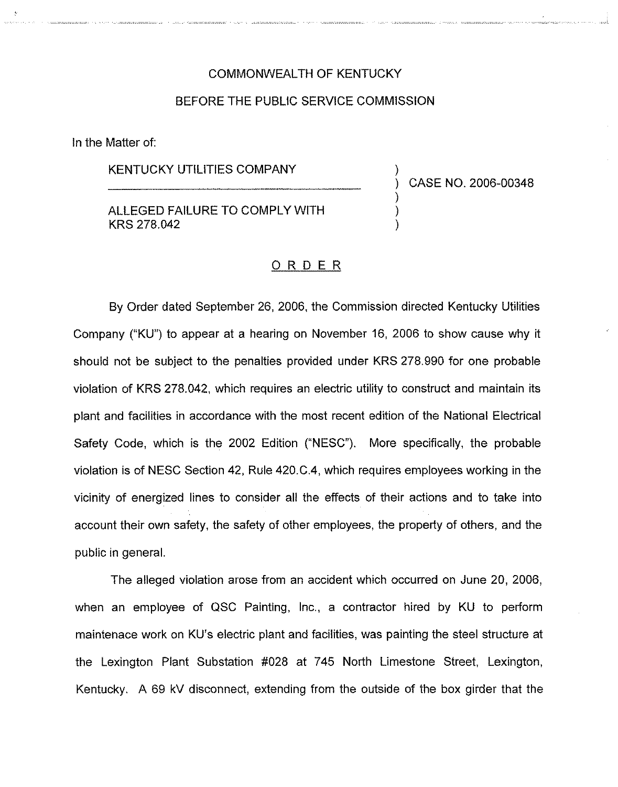### COMMONWEALTH OF KENTUCKY

#### BEFORE THE PUBLIC SERVICE COMMISSION

In the Matter of:

### KENTUCKY UTILITIES COMPANY

) CASE NO. 2006-00348

)

) ) )

ALLEGED FAILURE TO COMPLY WITH KRS 278.042

## <u>ORDER</u>

By Order dated September 26, 2006, the Commission directed Kentucky Utilities Company ("KU") to appear at a hearing on November 16, 2006 to show cause why it should not be subject to the penalties provided under KRS 278.990 for one probable violation of KRS 278.042, which requires an electric utility to construct and maintain its plant and facilities in accordance with the most recent edition of the National Electrical Safety Code, which is the 2002 Edition ("NESC"). More specifically, the probable violation is of NESC Section 42, Rule 420.C.4, which requires employees working in the vicinity of energized lines to consider all the effects of their actions and to take into account their own safety, the safety of other employees, the property of others, and the public in general.

The alleged violation arose from an accident which occurred on June 20, 2006, when an employee of QSC Painting, Inc., a contractor hired by KU to perform maintenace work on KU's electric plant and facilities, was painting the steel structure at the Lexington Plant Substation #028 at 745 North Limestone Street, Lexington, Kentucky. A 69 kV disconnect, extending from the outside of the box girder that the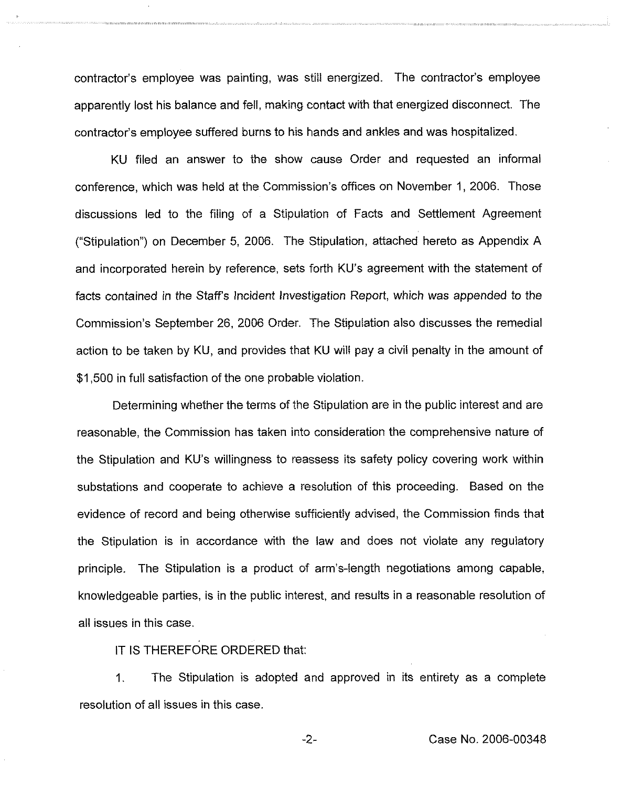contractor's employee was painting, was still energized. The contractor's employee apparently lost his balance and fell, making contact with that energized disconnect. The contractor's employee suffered burns to his hands and ankles and was hospitalized.

KU filed an answer to the show cause Order and requested an informal conference, which was held at the Commission's offices on November 1, 2006. Those discussions led to the filing of a Stipulation of Facts and Settlement Agreement ("Stipulation") on December 5, 2006. The Stipulation, attached hereto as Appendix A and incorporated herein by reference, sets forth KU's agreement with the statement of facts contained in the Staff's Incident Investigation Report, which was appended to the Commission's September 26, 2006 Order. The Stipulation also discusses the remedial action to be taken by KU, and provides that KU will pay a civil penalty in the amount of \$1,500 in full satisfaction of the one probable violation.

Determining whether the terms of the Stipulation are in the public interest and are reasonable, the Commission has taken into consideration the comprehensive nature of the Stipulation and KU's willingness to reassess its safety policy covering work within substations and cooperate to achieve a resolution of this proceeding. Based on the evidence of record and being otherwise sufficiently advised, the Commission finds that the Stipulation is in accordance with the law and does not violate any regulatory principle. The Stipulation is a product of arm's-length negotiations among capable, knowledgeable parties, is in the public interest, and results in a reasonable resolution of all issues in this case.

IT IS THEREFORE ORDERED that:

1. The Stipulation is adopted and approved in its entirety as a complete resolution of all issues in this case.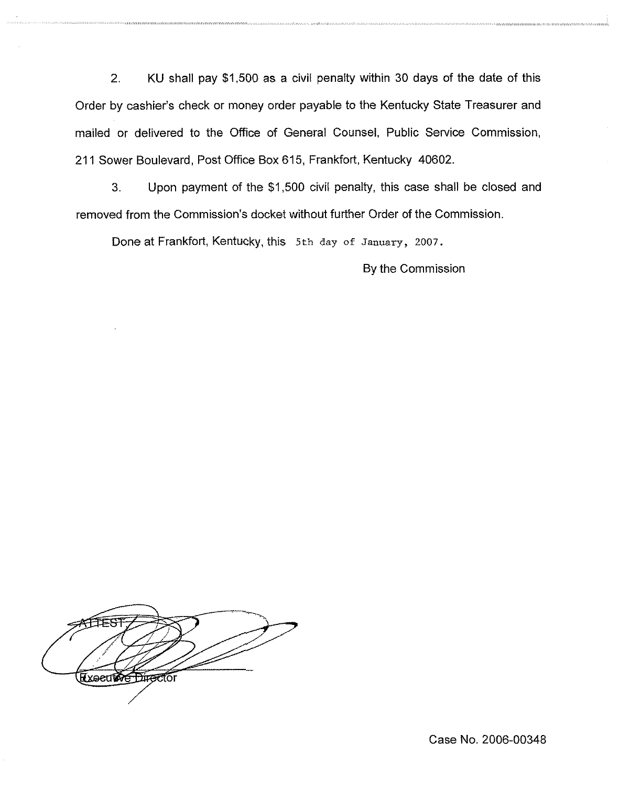2, KU shall pay \$1,500 as a civil penalty within 30 days of the date of this Order by cashier's check or money order payable to the Kentucky State Treasurer and mailed or delivered to the Office of General Counsel, Public Service Commission, 211 Sower Boulevard, Post Office Box 615, Frankfort, Kentucky 40602.

3. Upon payment of the \$1,500 civil penalty, this case shall be closed and removed from the Commission's docket without further Order of the Commission.

Done at Frankfort, Kentucky, this 5th day of January, 2007.

By the Commission

**Executore Director** 

Case No. 2006-00348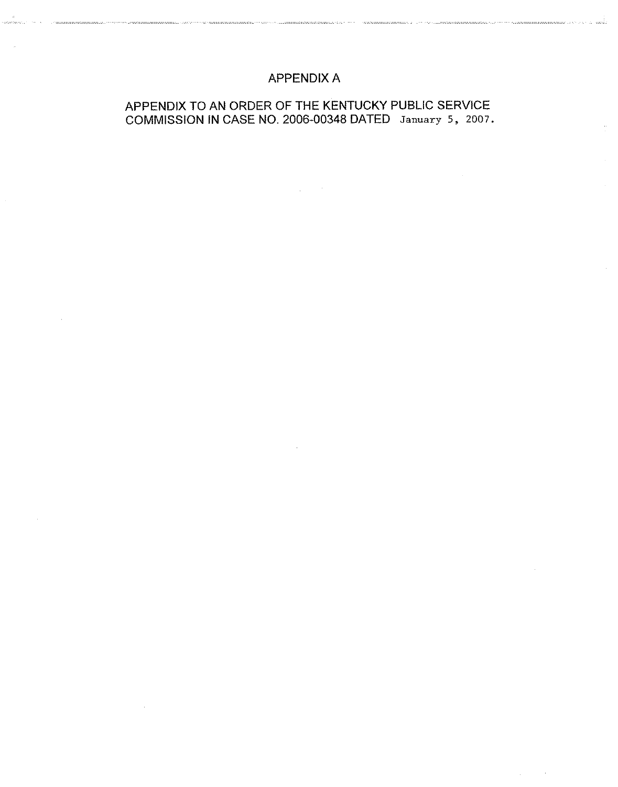# APPENDIX A

.<br>מיוונות האורי הייתה המונים במונים במונים במונים במונים במוניה המוניה הייתה המונים במונים במונים במונים במונים

<u>.</u><br>1980 - Peter Personal, amerik<del>ansk politik komponent</del> († 1918)

# APPENDIX TO AN ORDER OF THE KENTUCKY PUBLIC SERVICE COMMISSION IN CASE NO. 2006-00348 DATED January 5, 2007.

 $\Delta \phi = 0.000$ 

والمتحاد والمحاور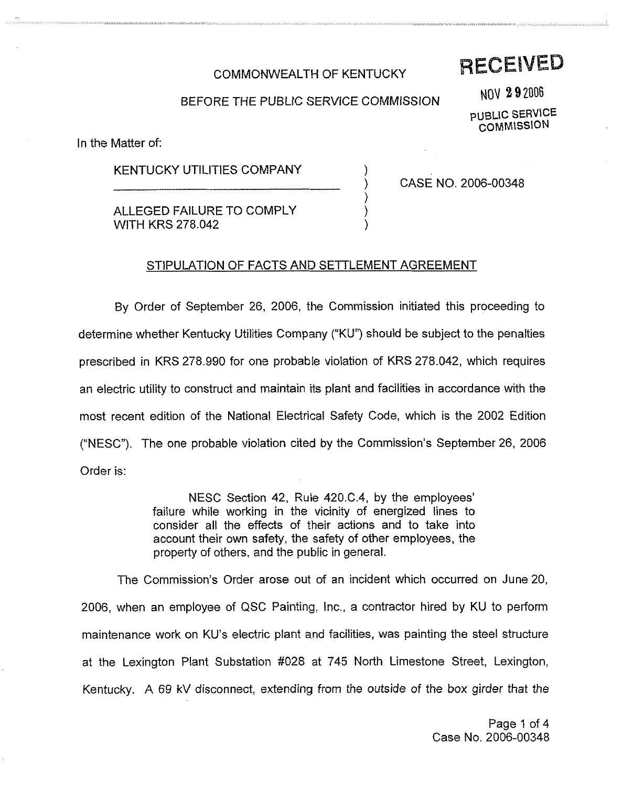## COMMONWEALTH OF KENTUCKY

# **RECEIVED**

## BEFORE THE PUBLIC SERVICE COMMISSION

)

) ) )

NOV 292006 PUBLIC SERVICE **COMMISSION** 

In the Matter of:

## KENTUCKY UTILITIES COMPANY

ALLEGED FAILURE TO COMPLY WITH KRS 278.042

) CASE NO. 2006-00348

## STIPULATION OF FACTS AND SETTLEMENT AGREEMENT

By Order of September 26, 2006, the Commission initiated this proceeding to determine whether Kentucky Utilities Company ("KU") should be subject to the penalties prescribed in KRS 278.990 for one probable violation of KRS 278.042, which requires an electric utility to construct and maintain its plant and facilities in accordance with the most recent edition of the National Electrical Safety Code, which is the 2002 Edition ("NESC"). The one probable violation cited by the Commission's September 26, 2006 Order is:

> NESC Section 42, Rule 420.C.4, by the employees' while working in the vicinity of energized lines to consider all the effects of their actions and to take into account their own safety, the safety of other employees, the property of others, and the public in general.

The Commission's Order arose out of an incident which occurred on June 20, 2006, when an employee of QSC Painting, inc,, a contractor hired by KU to perform maintenance work on KU's electric plant and facilities, was painting the steel structure at the Lexington Plant Substation ff028 at 745 North Limestone Street, Lexington, Kentucky. A 69 kV disconnect, extending from the outside of the box girder that the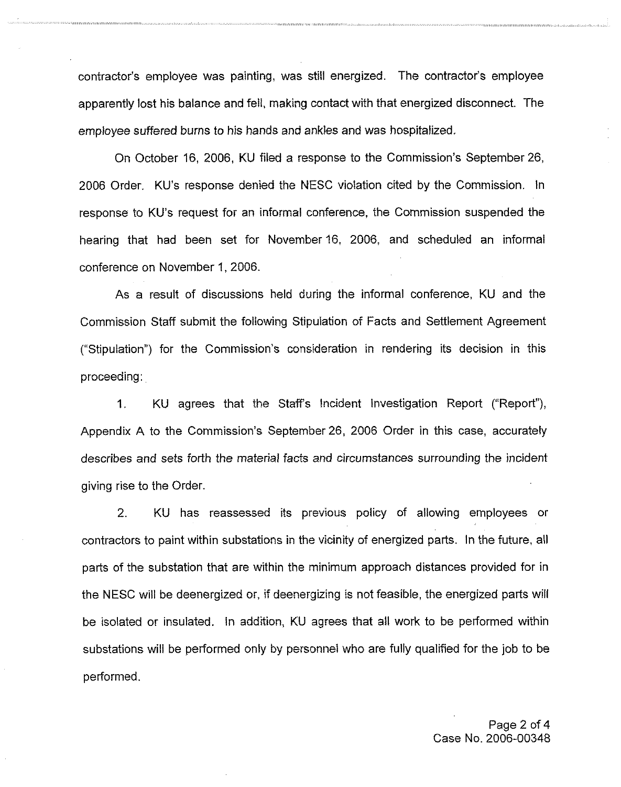contractor's employee was painting, was still energized. The contractor's employee apparently lost his balance and fell, making contact with that energized disconnect. The employee suffered burns to his hands and ankles and was hospitalized.

On October 16, 2006, KU filed a response to the Commission's September 26, 2006 Order. KU's response denied the NESC violation cited by the Commission. In response to KU's request for an informal conference, the Commission suspended the hearing that had been set for November 16, 2006, and scheduled an informal conference on November 1, 2006.

As a result of discussions held during the informal conference, KU and the Commission Staff submit the following Stipulation of Facts and Settlement Agreement ("Stipulation") for the Commission's consideration in rendering its decision in this proceeding:

1. KU agrees that the Staff's Incident Investigation Report ("Report"), Appendix A to the Commission's September 26, 2006 Order in this case, accurately describes and sets forth the material facts and circumstances surrounding the incident giving rise to the Order.

2. KU has reassessed its previous policy of allowing employees or contractors to paint within substations in the vicinity of energized parts. In the future, all parts of the substation that are within the minimum approach distances provided for in the NESC will be deenergized or, if deenergizing is not feasible, the energized parts will be isolated or insulated. In addition, KU agrees that all work to be performed within substations will be performed only by personnel who are fully qualified for the job to be performed.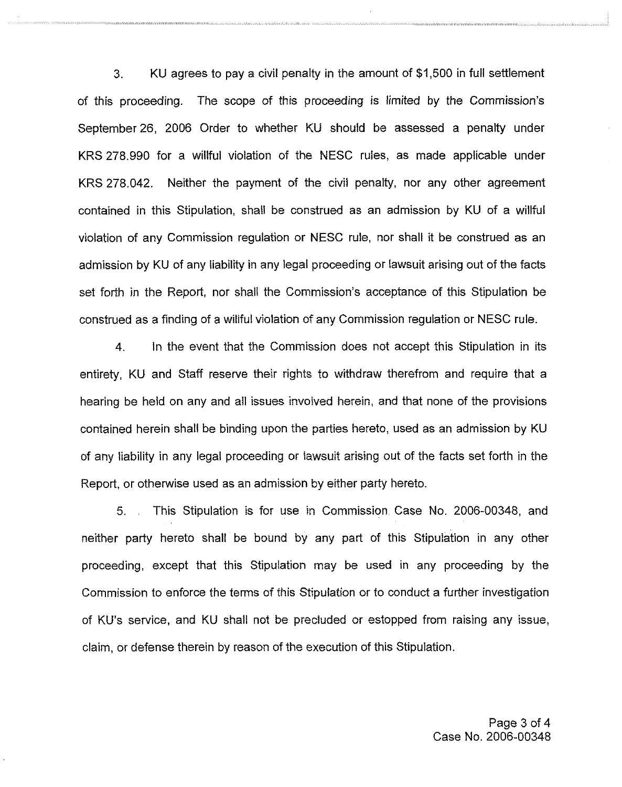3. KU agrees to pay a civil penalty in the amount of \$1,500 in full settlement of this proceeding. The scope of this proceeding is limited by the Commission's September 26, 2006 Order to whether KU should be assessed a penalty under KRS 278.990 for a willful violation of the NESC rules, as made applicable under KRS 278.042. Neither the payment of the civil penalty, nor any other agreement contained in this Stipulation, shall be construed as an admission by KU of a willful violation of any Commission regulation or NESC rule, nor shall it be construed as an admission by KU of any liability in any legal proceeding or lawsuit arising out of the facts set forth in the Report, nor shall the Commission's acceptance of this Stipulation be construed as a finding of a willful violation of any Commission regulation or NESC rule.

4. In the event that the Commission does not accept this Stipulation in its entirety, KU and Staff reserve their rights to withdraw therefrom and require that a hearing be held on any and all issues involved herein, and that none of the provisions contained herein shall be binding upon the parties hereto, used as an admission by KU of any liability in any legal proceeding or lawsuit arising out of the facts set forth in the Report, or otherwise used as an admission by either party hereto.

5. This Stipulation is for use in Commission Case No. 2006-00348, and neither party hereto shall be bound by any part of this Stipulation in any other proceeding, except that this Stipulation may be used in any proceeding by the Commission to enforce the terms of this Stipulation or to conduct a further investigation of KU's service, and KU shall not be precluded or estopped from raising any issue, claim, or defense therein by reason of the execution of this Stipulation.